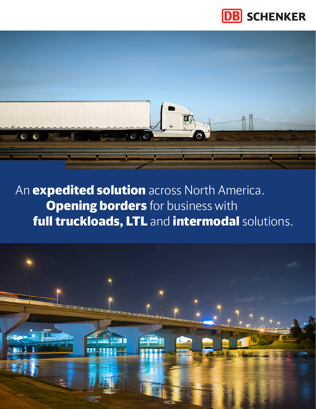



An **expedited solution** across North America. **Opening borders** for business with full truckloads, LTL and intermodal solutions.